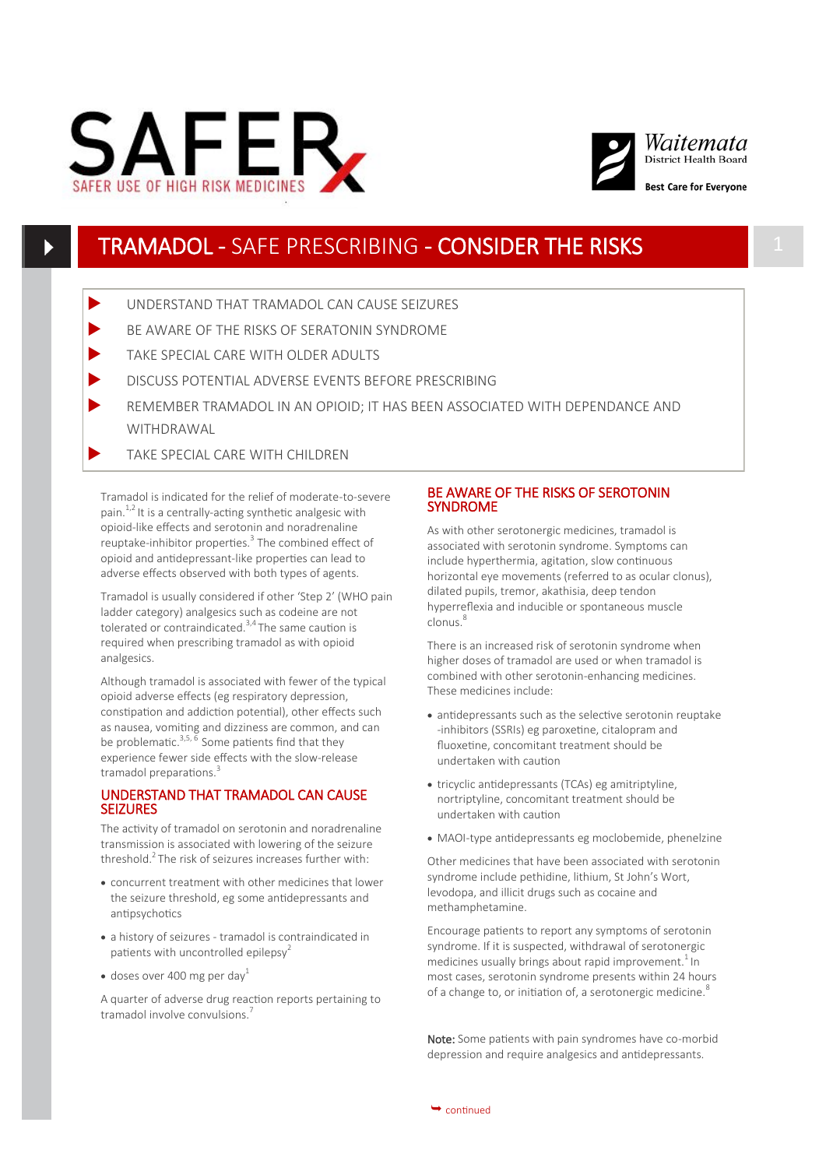



# TRAMADOL - SAFE PRESCRIBING - CONSIDER THE RISKS 1

- UNDERSTAND THAT TRAMADOL CAN CAUSE SEIZURES
- BE AWARE OF THE RISKS OF SERATONIN SYNDROME
- TAKE SPECIAL CARE WITH OLDER ADULTS
- DISCUSS POTENTIAL ADVERSE EVENTS BEFORE PRESCRIBING
- REMEMBER TRAMADOL IN AN OPIOID; IT HAS BEEN ASSOCIATED WITH DEPENDANCE AND WITHDRAWAL
- TAKE SPECIAL CARE WITH CHILDREN

Tramadol is indicated for the relief of moderate-to-severe pain. $1,2$  It is a centrally-acting synthetic analgesic with opioid-like effects and serotonin and noradrenaline reuptake-inhibitor properties.<sup>3</sup> The combined effect of opioid and antidepressant-like properties can lead to adverse effects observed with both types of agents.

Tramadol is usually considered if other 'Step 2' (WHO pain ladder category) analgesics such as codeine are not tolerated or contraindicated. $3,4$  The same caution is required when prescribing tramadol as with opioid analgesics.

Although tramadol is associated with fewer of the typical opioid adverse effects (eg respiratory depression, constipation and addiction potential), other effects such as nausea, vomiting and dizziness are common, and can be problematic.<sup>3,5, 6</sup> Some patients find that they experience fewer side effects with the slow-release tramadol preparations.<sup>3</sup>

## UNDERSTAND THAT TRAMADOL CAN CAUSE **SEIZURES**

The activity of tramadol on serotonin and noradrenaline transmission is associated with lowering of the seizure threshold.<sup>2</sup> The risk of seizures increases further with:

- concurrent treatment with other medicines that lower the seizure threshold, eg some antidepressants and antipsychotics
- a history of seizures tramadol is contraindicated in patients with uncontrolled epilepsy<sup>2</sup>
- $\bullet$  doses over 400 mg per day<sup>1</sup>

A quarter of adverse drug reaction reports pertaining to tramadol involve convulsions.<sup>7</sup>

# BE AWARE OF THE RISKS OF SEROTONIN SYNDROME

As with other serotonergic medicines, tramadol is associated with serotonin syndrome. Symptoms can include hyperthermia, agitation, slow continuous horizontal eye movements (referred to as ocular clonus), dilated pupils, tremor, akathisia, deep tendon hyperreflexia and inducible or spontaneous muscle clonus.<sup>8</sup>

There is an increased risk of serotonin syndrome when higher doses of tramadol are used or when tramadol is combined with other serotonin-enhancing medicines. These medicines include:

- antidepressants such as the selective serotonin reuptake -inhibitors (SSRIs) eg paroxetine, citalopram and fluoxetine, concomitant treatment should be undertaken with caution
- tricyclic antidepressants (TCAs) eg amitriptyline, nortriptyline, concomitant treatment should be undertaken with caution
- MAOI-type antidepressants eg moclobemide, phenelzine

Other medicines that have been associated with serotonin syndrome include pethidine, lithium, St John's Wort, levodopa, and illicit drugs such as cocaine and methamphetamine.

Encourage patients to report any symptoms of serotonin syndrome. If it is suspected, withdrawal of serotonergic medicines usually brings about rapid improvement.<sup>1</sup> In most cases, serotonin syndrome presents within 24 hours of a change to, or initiation of, a serotonergic medicine.<sup>8</sup>

Note: Some patients with pain syndromes have co-morbid depression and require analgesics and antidepressants.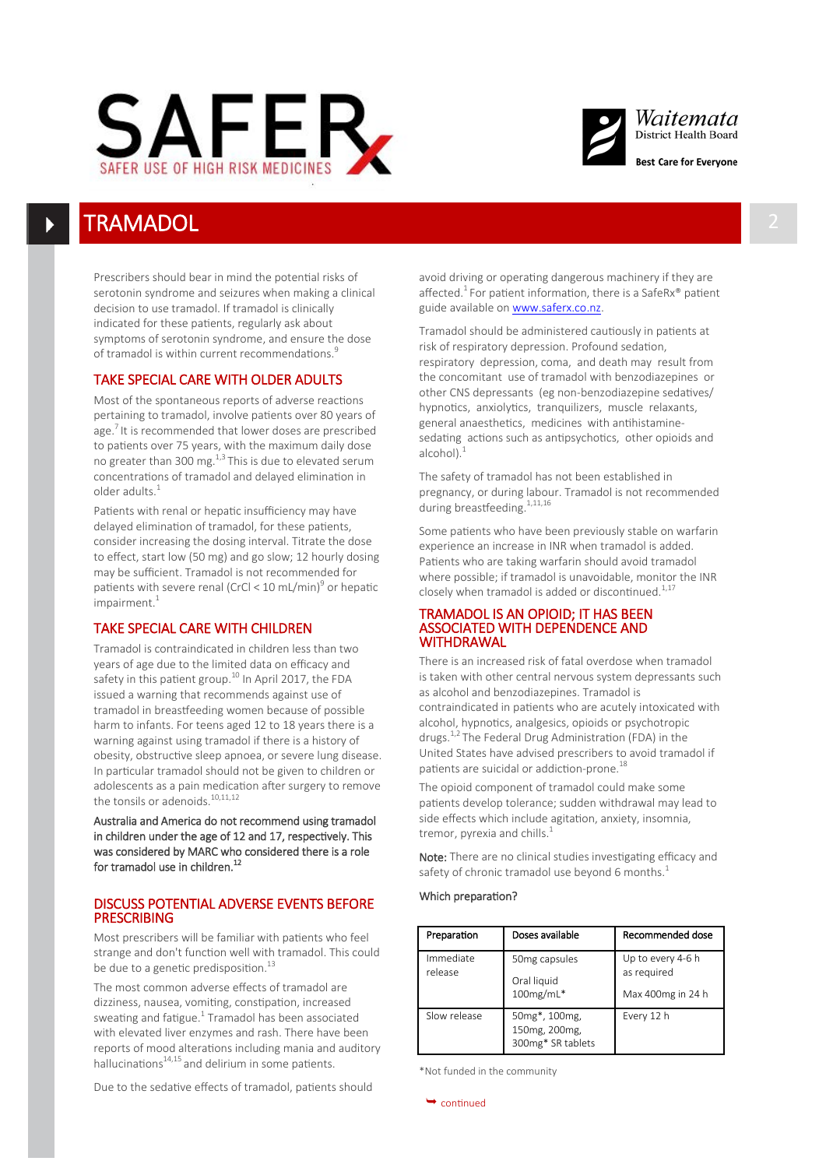



# **TRAMADOL**

Prescribers should bear in mind the potential risks of serotonin syndrome and seizures when making a clinical decision to use tramadol. If tramadol is clinically indicated for these patients, regularly ask about symptoms of serotonin syndrome, and ensure the dose of tramadol is within current recommendations.<sup>9</sup>

# TAKE SPECIAL CARE WITH OLDER ADULTS

Most of the spontaneous reports of adverse reactions pertaining to tramadol, involve patients over 80 years of age. $\frac{7}{1}$  It is recommended that lower doses are prescribed to patients over 75 years, with the maximum daily dose no greater than 300 mg. $^{1,3}$  This is due to elevated serum concentrations of tramadol and delayed elimination in older adults.<sup>1</sup>

Patients with renal or hepatic insufficiency may have delayed elimination of tramadol, for these patients, consider increasing the dosing interval. Titrate the dose to effect, start low (50 mg) and go slow; 12 hourly dosing may be sufficient. Tramadol is not recommended for patients with severe renal (CrCl < 10 mL/min)<sup>9</sup> or hepatic  $impairment.<sup>1</sup>$ 

# TAKE SPECIAL CARE WITH CHILDREN

Tramadol is contraindicated in children less than two years of age due to the limited data on efficacy and safety in this patient group.<sup>10</sup> In April 2017, the FDA issued a warning that recommends against use of tramadol in breastfeeding women because of possible harm to infants. For teens aged 12 to 18 years there is a warning against using tramadol if there is a history of obesity, obstructive sleep apnoea, or severe lung disease. In particular tramadol should not be given to children or adolescents as a pain medication after surgery to remove the tonsils or adenoids.<sup>10,11,12</sup>

Australia and America do not recommend using tramadol in children under the age of 12 and 17, respectively. This was considered by MARC who considered there is a role for tramadol use in children.<sup>12</sup>

# DISCUSS POTENTIAL ADVERSE EVENTS BEFORE PRESCRIBING

Most prescribers will be familiar with patients who feel strange and don't function well with tramadol. This could be due to a genetic predisposition.<sup>13</sup>

The most common adverse effects of tramadol are dizziness, nausea, vomiting, constipation, increased sweating and fatigue. $^1$  Tramadol has been associated with elevated liver enzymes and rash. There have been reports of mood alterations including mania and auditory hallucinations $14,15$  and delirium in some patients.

Due to the sedative effects of tramadol, patients should

avoid driving or operating dangerous machinery if they are affected.<sup>1</sup> For patient information, there is a SafeRx<sup>®</sup> patient guide available on [www.saferx.co.nz.](http://www.saferx.co.nz/)

Tramadol should be administered cautiously in patients at risk of respiratory depression. Profound sedation, respiratory depression, coma, and death may result from the concomitant use of tramadol with benzodiazepines or other CNS depressants (eg non-benzodiazepine sedatives/ hypnotics, anxiolytics, tranquilizers, muscle relaxants, general anaesthetics, medicines with antihistaminesedating actions such as antipsychotics, other opioids and alcohol).<sup>1</sup>

The safety of tramadol has not been established in pregnancy, or during labour. Tramadol is not recommended during breastfeeding.<sup>1,11,16</sup>

Some patients who have been previously stable on warfarin experience an increase in INR when tramadol is added. Patients who are taking warfarin should avoid tramadol where possible; if tramadol is unavoidable, monitor the INR closely when tramadol is added or discontinued. $1,17$ 

## TRAMADOL IS AN OPIOID; IT HAS BEEN ASSOCIATED WITH DEPENDENCE AND WITHDRAWAL

There is an increased risk of fatal overdose when tramadol is taken with other central nervous system depressants such as alcohol and benzodiazepines. Tramadol is contraindicated in patients who are acutely intoxicated with alcohol, hypnotics, analgesics, opioids or psychotropic drugs.1,2 The Federal Drug Administration (FDA) in the United States have advised prescribers to avoid tramadol if patients are suicidal or addiction-prone.<sup>18</sup>

The opioid component of tramadol could make some patients develop tolerance; sudden withdrawal may lead to side effects which include agitation, anxiety, insomnia, tremor, pyrexia and chills.<sup>1</sup>

Note: There are no clinical studies investigating efficacy and safety of chronic tramadol use beyond 6 months.<sup>1</sup>

## Which preparation?

| Preparation          | Doses available                                     | Recommended dose                                      |
|----------------------|-----------------------------------------------------|-------------------------------------------------------|
| Immediate<br>release | 50mg capsules<br>Oral liquid<br>100mg/mL*           | Up to every 4-6 h<br>as required<br>Max 400mg in 24 h |
| Slow release         | 50mg*, 100mg,<br>150mg, 200mg,<br>300mg* SR tablets | Every 12 h                                            |

\*Not funded in the community